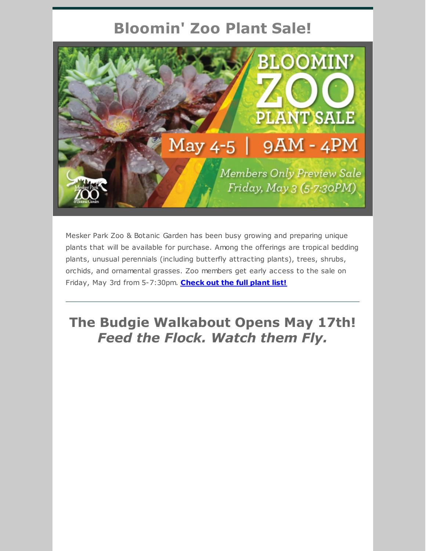# **Bloomin' Zoo Plant Sale!**



Mesker Park Zoo & Botanic Garden has been busy growing and preparing unique plants that will be available for purchase. Among the offerings are tropical bedding plants, unusual perennials (including butterfly attracting plants), trees, shrubs, orchids, and ornamental grasses. Zoo members get early access to the sale on Friday, May 3rd from 5-7:30pm. **[Check](https://files.constantcontact.com/122c30b3101/76824e1c-9a49-4349-b887-8ac85675df82.pdf) out the full plant list!**

## **The Budgie Walkabout Opens May 17th!** *Feed the Flock. Watch them Fly.*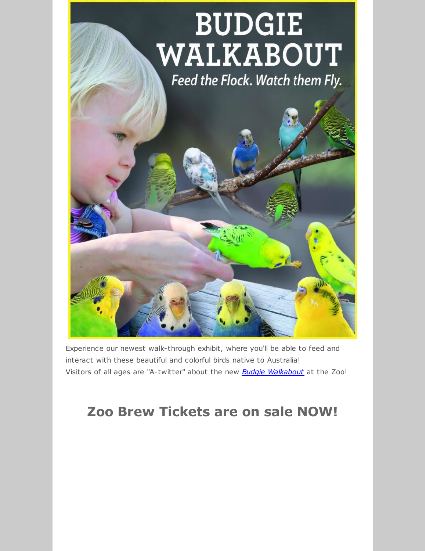

Experience our newest walk-through exhibit, where you'll be able to feed and interact with these beautiful and colorful birds native to Australia! Visitors of all ages are "A-twitter" about the new *Budgie [Walkabout](https://www.meskerparkzoo.com/plan-your-visit/vistors-services-amenities/)* at the Zoo!

# **Zoo Brew Tickets are on sale NOW!**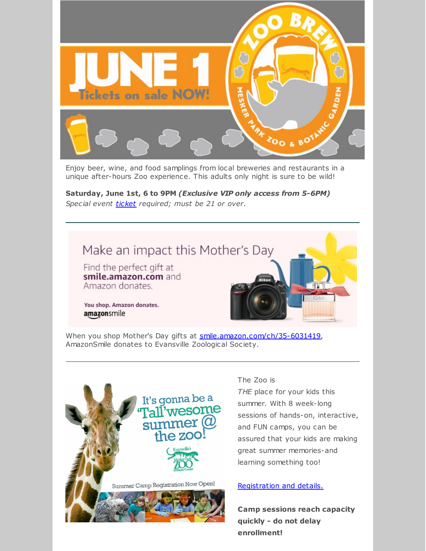

unique after-hours Zoo experience. This adults only night is sure to be wild!

**Saturday, June 1st, 6 to 9PM** *(Exclusive VIP only access from 5-6PM) Special event [ticket](https://www.eventbrite.com/e/mesker-park-zoo-brew-2019-tickets-60631972863) required; must be 21 or over.*



When you shop Mother's Day gifts at [smile.amazon.com/ch/35-6031419](https://www.amazon.com/gp/f.html?C=BSSLG94VB8FQ&K=3B7YIWAW8HCN0&M=urn:rtn:msg:201904241402044db2fd9b429f448b96b407c08340p0na&R=24EMCN9UZF2VJ&T=C&U=http%3A%2F%2Fsmile.amazon.com%2Fch%2F35-6031419&H=UYK5DFPUXRQ46JURVHD7F8J8OV8A), AmazonSmile donates to Evansville Zoological Society.



#### The Zoo is

*THE* place for your kids this summer. With 8 week-long sessions of hands-on, interactive, and FUN camps, you can be assured that your kids are making great summer memories-and learning something too!

#### [Registration](https://www.meskerparkzoo.com/camp/) and details.

**Camp sessions reach capacity quickly - do not delay enrollment!**